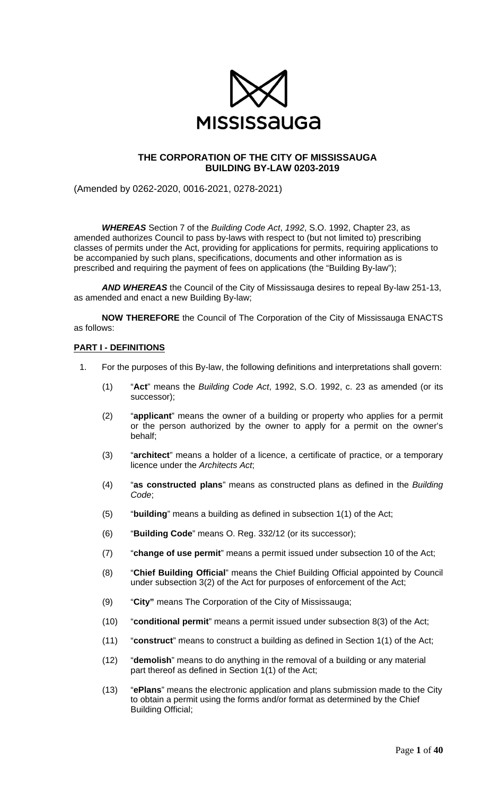

# **THE CORPORATION OF THE CITY OF MISSISSAUGA BUILDING BY-LAW 0203-2019**

(Amended by 0262-2020, 0016-2021, 0278-2021)

*WHEREAS* Section 7 of the *Building Code Act*, *1992*, S.O. 1992, Chapter 23, as amended authorizes Council to pass by-laws with respect to (but not limited to) prescribing classes of permits under the Act, providing for applications for permits, requiring applications to be accompanied by such plans, specifications, documents and other information as is prescribed and requiring the payment of fees on applications (the "Building By-law");

*AND WHEREAS* the Council of the City of Mississauga desires to repeal By-law 251-13, as amended and enact a new Building By-law;

**NOW THEREFORE** the Council of The Corporation of the City of Mississauga ENACTS as follows:

#### **PART I - DEFINITIONS**

- 1. For the purposes of this By-law, the following definitions and interpretations shall govern:
	- (1) "**Act**" means the *Building Code Act*, 1992, S.O. 1992, c. 23 as amended (or its successor);
	- (2) "**applicant**" means the owner of a building or property who applies for a permit or the person authorized by the owner to apply for a permit on the owner's behalf;
	- (3) "**architect**" means a holder of a licence, a certificate of practice, or a temporary licence under the *Architects Act*;
	- (4) "**as constructed plans**" means as constructed plans as defined in the *Building Code*;
	- (5) "**building**" means a building as defined in subsection 1(1) of the Act;
	- (6) "**Building Code**" means O. Reg. 332/12 (or its successor);
	- (7) "**change of use permit**" means a permit issued under subsection 10 of the Act;
	- (8) "**Chief Building Official**" means the Chief Building Official appointed by Council under subsection 3(2) of the Act for purposes of enforcement of the Act;
	- (9) "**City"** means The Corporation of the City of Mississauga;
	- (10) "**conditional permit**" means a permit issued under subsection 8(3) of the Act;
	- (11) "**construct**" means to construct a building as defined in Section 1(1) of the Act;
	- (12) "**demolish**" means to do anything in the removal of a building or any material part thereof as defined in Section 1(1) of the Act;
	- (13) "**ePlans**" means the electronic application and plans submission made to the City to obtain a permit using the forms and/or format as determined by the Chief Building Official;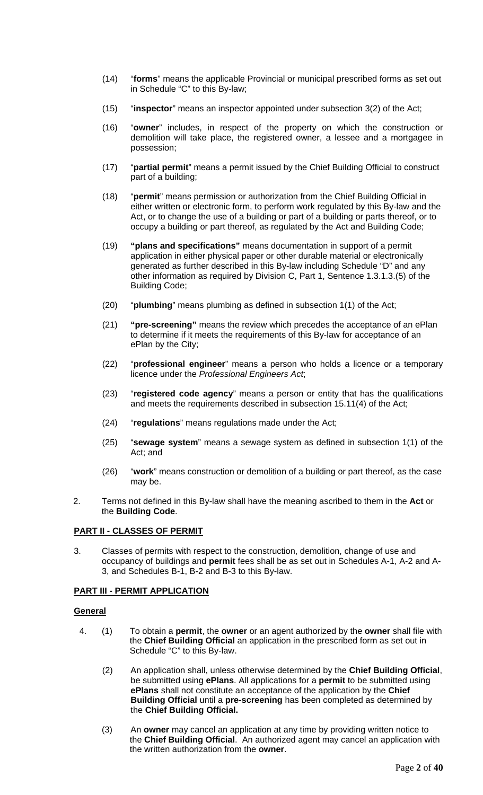- (14) "**forms**" means the applicable Provincial or municipal prescribed forms as set out in Schedule "C" to this By-law;
- (15) "**inspector**" means an inspector appointed under subsection 3(2) of the Act;
- (16) "**owner**" includes, in respect of the property on which the construction or demolition will take place, the registered owner, a lessee and a mortgagee in possession;
- (17) "**partial permit**" means a permit issued by the Chief Building Official to construct part of a building;
- (18) "**permit**" means permission or authorization from the Chief Building Official in either written or electronic form, to perform work regulated by this By-law and the Act, or to change the use of a building or part of a building or parts thereof, or to occupy a building or part thereof, as regulated by the Act and Building Code;
- (19) **"plans and specifications"** means documentation in support of a permit application in either physical paper or other durable material or electronically generated as further described in this By-law including Schedule "D" and any other information as required by Division C, Part 1, Sentence 1.3.1.3.(5) of the Building Code;
- (20) "**plumbing**" means plumbing as defined in subsection 1(1) of the Act;
- (21) **"pre-screening"** means the review which precedes the acceptance of an ePlan to determine if it meets the requirements of this By-law for acceptance of an ePlan by the City;
- (22) "**professional engineer**" means a person who holds a licence or a temporary licence under the *Professional Engineers Act*;
- (23) "**registered code agency**" means a person or entity that has the qualifications and meets the requirements described in subsection 15.11(4) of the Act;
- (24) "**regulations**" means regulations made under the Act;
- (25) "**sewage system**" means a sewage system as defined in subsection 1(1) of the Act; and
- (26) "**work**" means construction or demolition of a building or part thereof, as the case may be.
- 2. Terms not defined in this By-law shall have the meaning ascribed to them in the **Act** or the **Building Code**.

# **PART II - CLASSES OF PERMIT**

3. Classes of permits with respect to the construction, demolition, change of use and occupancy of buildings and **permit** fees shall be as set out in Schedules A-1, A-2 and A-3, and Schedules B-1, B-2 and B-3 to this By-law.

# **PART III - PERMIT APPLICATION**

#### **General**

- 4. (1) To obtain a **permit**, the **owner** or an agent authorized by the **owner** shall file with the **Chief Building Official** an application in the prescribed form as set out in Schedule "C" to this By-law.
	- (2) An application shall, unless otherwise determined by the **Chief Building Official**, be submitted using **ePlans**. All applications for a **permit** to be submitted using **ePlans** shall not constitute an acceptance of the application by the **Chief Building Official** until a **pre-screening** has been completed as determined by the **Chief Building Official.**
	- (3) An **owner** may cancel an application at any time by providing written notice to the **Chief Building Official**. An authorized agent may cancel an application with the written authorization from the **owner**.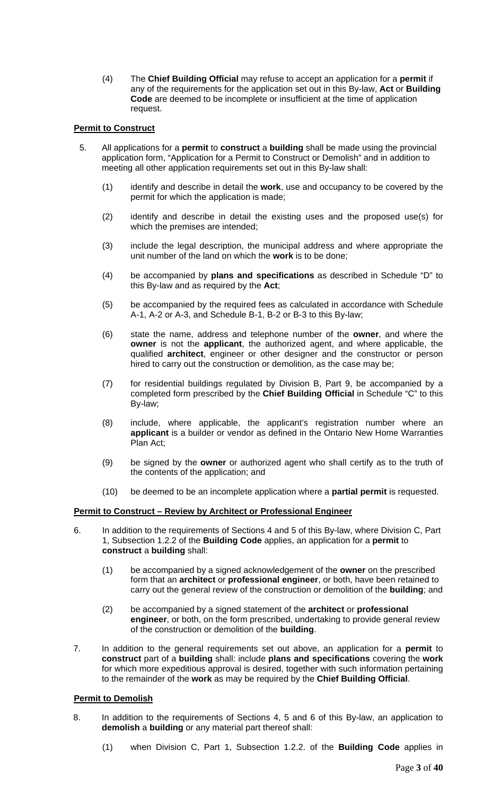(4) The **Chief Building Official** may refuse to accept an application for a **permit** if any of the requirements for the application set out in this By-law, **Act** or **Building Code** are deemed to be incomplete or insufficient at the time of application request.

# **Permit to Construct**

- 5. All applications for a **permit** to **construct** a **building** shall be made using the provincial application form, "Application for a Permit to Construct or Demolish" and in addition to meeting all other application requirements set out in this By-law shall:
	- (1) identify and describe in detail the **work**, use and occupancy to be covered by the permit for which the application is made;
	- (2) identify and describe in detail the existing uses and the proposed use(s) for which the premises are intended;
	- (3) include the legal description, the municipal address and where appropriate the unit number of the land on which the **work** is to be done;
	- (4) be accompanied by **plans and specifications** as described in Schedule "D" to this By-law and as required by the **Act**;
	- (5) be accompanied by the required fees as calculated in accordance with Schedule A-1, A-2 or A-3, and Schedule B-1, B-2 or B-3 to this By-law;
	- (6) state the name, address and telephone number of the **owner**, and where the **owner** is not the **applicant**, the authorized agent, and where applicable, the qualified **architect**, engineer or other designer and the constructor or person hired to carry out the construction or demolition, as the case may be;
	- (7) for residential buildings regulated by Division B, Part 9, be accompanied by a completed form prescribed by the **Chief Building Official** in Schedule "C" to this By-law;
	- (8) include, where applicable, the applicant's registration number where an **applicant** is a builder or vendor as defined in the Ontario New Home Warranties Plan Act;
	- (9) be signed by the **owner** or authorized agent who shall certify as to the truth of the contents of the application; and
	- (10) be deemed to be an incomplete application where a **partial permit** is requested.

# **Permit to Construct – Review by Architect or Professional Engineer**

- 6. In addition to the requirements of Sections 4 and 5 of this By-law, where Division C, Part 1, Subsection 1.2.2 of the **Building Code** applies, an application for a **permit** to **construct** a **building** shall:
	- (1) be accompanied by a signed acknowledgement of the **owner** on the prescribed form that an **architect** or **professional engineer**, or both, have been retained to carry out the general review of the construction or demolition of the **building**; and
	- (2) be accompanied by a signed statement of the **architect** or **professional engineer**, or both, on the form prescribed, undertaking to provide general review of the construction or demolition of the **building**.
- 7. In addition to the general requirements set out above, an application for a **permit** to **construct** part of a **building** shall: include **plans and specifications** covering the **work** for which more expeditious approval is desired, together with such information pertaining to the remainder of the **work** as may be required by the **Chief Building Official**.

# **Permit to Demolish**

- 8. In addition to the requirements of Sections 4, 5 and 6 of this By-law, an application to **demolish** a **building** or any material part thereof shall:
	- (1) when Division C, Part 1, Subsection 1.2.2. of the **Building Code** applies in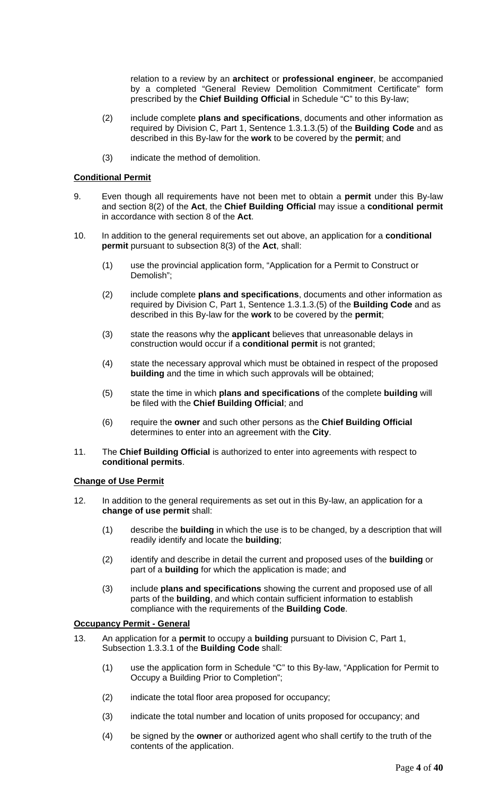relation to a review by an **architect** or **professional engineer**, be accompanied by a completed "General Review Demolition Commitment Certificate" form prescribed by the **Chief Building Official** in Schedule "C" to this By-law;

- (2) include complete **plans and specifications**, documents and other information as required by Division C, Part 1, Sentence 1.3.1.3.(5) of the **Building Code** and as described in this By-law for the **work** to be covered by the **permit**; and
- (3) indicate the method of demolition.

#### **Conditional Permit**

- 9. Even though all requirements have not been met to obtain a **permit** under this By-law and section 8(2) of the **Act**, the **Chief Building Official** may issue a **conditional permit** in accordance with section 8 of the **Act**.
- 10. In addition to the general requirements set out above, an application for a **conditional permit** pursuant to subsection 8(3) of the **Act**, shall:
	- (1) use the provincial application form, "Application for a Permit to Construct or Demolish";
	- (2) include complete **plans and specifications**, documents and other information as required by Division C, Part 1, Sentence 1.3.1.3.(5) of the **Building Code** and as described in this By-law for the **work** to be covered by the **permit**;
	- (3) state the reasons why the **applicant** believes that unreasonable delays in construction would occur if a **conditional permit** is not granted;
	- (4) state the necessary approval which must be obtained in respect of the proposed **building** and the time in which such approvals will be obtained;
	- (5) state the time in which **plans and specifications** of the complete **building** will be filed with the **Chief Building Official**; and
	- (6) require the **owner** and such other persons as the **Chief Building Official** determines to enter into an agreement with the **City**.
- 11. The **Chief Building Official** is authorized to enter into agreements with respect to **conditional permits**.

#### **Change of Use Permit**

- 12. In addition to the general requirements as set out in this By-law, an application for a **change of use permit** shall:
	- (1) describe the **building** in which the use is to be changed, by a description that will readily identify and locate the **building**;
	- (2) identify and describe in detail the current and proposed uses of the **building** or part of a **building** for which the application is made; and
	- (3) include **plans and specifications** showing the current and proposed use of all parts of the **building**, and which contain sufficient information to establish compliance with the requirements of the **Building Code**.

### **Occupancy Permit - General**

- 13. An application for a **permit** to occupy a **building** pursuant to Division C, Part 1, Subsection 1.3.3.1 of the **Building Code** shall:
	- (1) use the application form in Schedule "C" to this By-law, "Application for Permit to Occupy a Building Prior to Completion";
	- (2) indicate the total floor area proposed for occupancy;
	- (3) indicate the total number and location of units proposed for occupancy; and
	- (4) be signed by the **owner** or authorized agent who shall certify to the truth of the contents of the application.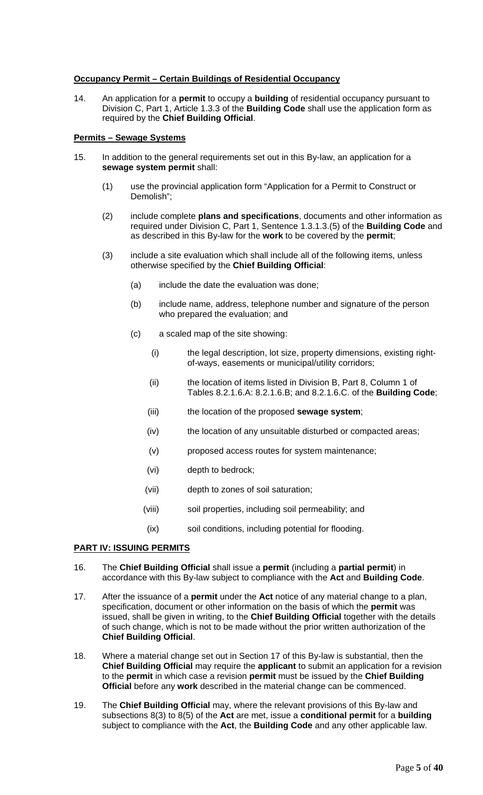# **Occupancy Permit – Certain Buildings of Residential Occupancy**

14. An application for a **permit** to occupy a **building** of residential occupancy pursuant to Division C, Part 1, Article 1.3.3 of the **Building Code** shall use the application form as required by the **Chief Building Official**.

#### **Permits – Sewage Systems**

- 15. In addition to the general requirements set out in this By-law, an application for a **sewage system permit** shall:
	- (1) use the provincial application form "Application for a Permit to Construct or Demolish";
	- (2) include complete **plans and specifications**, documents and other information as required under Division C, Part 1, Sentence 1.3.1.3.(5) of the **Building Code** and as described in this By-law for the **work** to be covered by the **permit**;
	- (3) include a site evaluation which shall include all of the following items, unless otherwise specified by the **Chief Building Official**:
		- (a) include the date the evaluation was done;
		- (b) include name, address, telephone number and signature of the person who prepared the evaluation; and
		- (c) a scaled map of the site showing:
			- (i) the legal description, lot size, property dimensions, existing rightof-ways, easements or municipal/utility corridors;
			- (ii) the location of items listed in Division B, Part 8, Column 1 of Tables 8.2.1.6.A: 8.2.1.6.B; and 8.2.1.6.C. of the **Building Code**;
			- (iii) the location of the proposed **sewage system**;
			- (iv) the location of any unsuitable disturbed or compacted areas;
			- (v) proposed access routes for system maintenance;
			- (vi) depth to bedrock;
			- (vii) depth to zones of soil saturation;
			- (viii) soil properties, including soil permeability; and
			- (ix) soil conditions, including potential for flooding.

# **PART IV: ISSUING PERMITS**

- 16. The **Chief Building Official** shall issue a **permit** (including a **partial permit**) in accordance with this By-law subject to compliance with the **Act** and **Building Code**.
- 17. After the issuance of a **permit** under the **Act** notice of any material change to a plan, specification, document or other information on the basis of which the **permit** was issued, shall be given in writing, to the **Chief Building Official** together with the details of such change, which is not to be made without the prior written authorization of the **Chief Building Official**.
- 18. Where a material change set out in Section 17 of this By-law is substantial, then the **Chief Building Official** may require the **applicant** to submit an application for a revision to the **permit** in which case a revision **permit** must be issued by the **Chief Building Official** before any **work** described in the material change can be commenced.
- 19. The **Chief Building Official** may, where the relevant provisions of this By-law and subsections 8(3) to 8(5) of the **Act** are met, issue a **conditional permit** for a **building** subject to compliance with the **Act**, the **Building Code** and any other applicable law.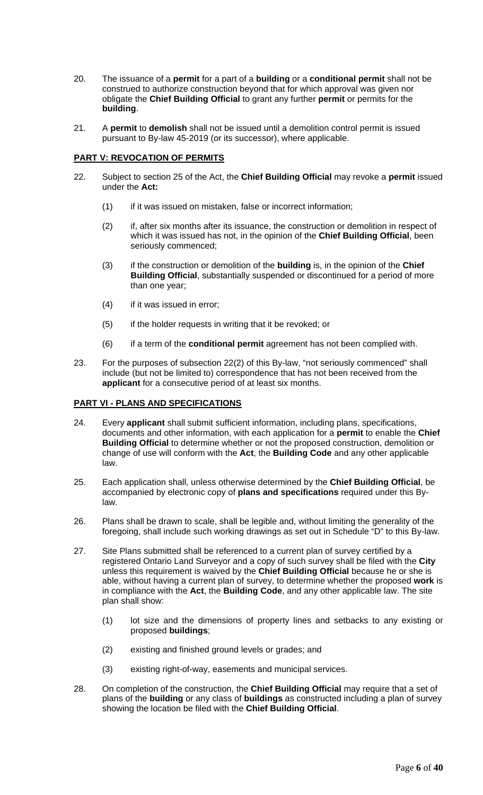- 20. The issuance of a **permit** for a part of a **building** or a **conditional permit** shall not be construed to authorize construction beyond that for which approval was given nor obligate the **Chief Building Official** to grant any further **permit** or permits for the **building**.
- 21. A **permit** to **demolish** shall not be issued until a demolition control permit is issued pursuant to By-law 45-2019 (or its successor), where applicable.

# **PART V: REVOCATION OF PERMITS**

- 22. Subject to section 25 of the Act, the **Chief Building Official** may revoke a **permit** issued under the **Act:**
	- (1) if it was issued on mistaken, false or incorrect information;
	- (2) if, after six months after its issuance, the construction or demolition in respect of which it was issued has not, in the opinion of the **Chief Building Official**, been seriously commenced;
	- (3) if the construction or demolition of the **building** is, in the opinion of the **Chief Building Official**, substantially suspended or discontinued for a period of more than one year;
	- (4) if it was issued in error;
	- (5) if the holder requests in writing that it be revoked; or
	- (6) if a term of the **conditional permit** agreement has not been complied with.
- 23. For the purposes of subsection 22(2) of this By-law, "not seriously commenced" shall include (but not be limited to) correspondence that has not been received from the **applicant** for a consecutive period of at least six months.

# **PART VI - PLANS AND SPECIFICATIONS**

- 24. Every **applicant** shall submit sufficient information, including plans, specifications, documents and other information, with each application for a **permit** to enable the **Chief Building Official** to determine whether or not the proposed construction, demolition or change of use will conform with the **Act**, the **Building Code** and any other applicable law.
- 25. Each application shall, unless otherwise determined by the **Chief Building Official**, be accompanied by electronic copy of **plans and specifications** required under this Bylaw.
- 26. Plans shall be drawn to scale, shall be legible and, without limiting the generality of the foregoing, shall include such working drawings as set out in Schedule "D" to this By-law.
- 27. Site Plans submitted shall be referenced to a current plan of survey certified by a registered Ontario Land Surveyor and a copy of such survey shall be filed with the **City** unless this requirement is waived by the **Chief Building Official** because he or she is able, without having a current plan of survey, to determine whether the proposed **work** is in compliance with the **Act**, the **Building Code**, and any other applicable law. The site plan shall show:
	- (1) lot size and the dimensions of property lines and setbacks to any existing or proposed **buildings**;
	- (2) existing and finished ground levels or grades; and
	- (3) existing right-of-way, easements and municipal services.
- 28. On completion of the construction, the **Chief Building Official** may require that a set of plans of the **building** or any class of **buildings** as constructed including a plan of survey showing the location be filed with the **Chief Building Official**.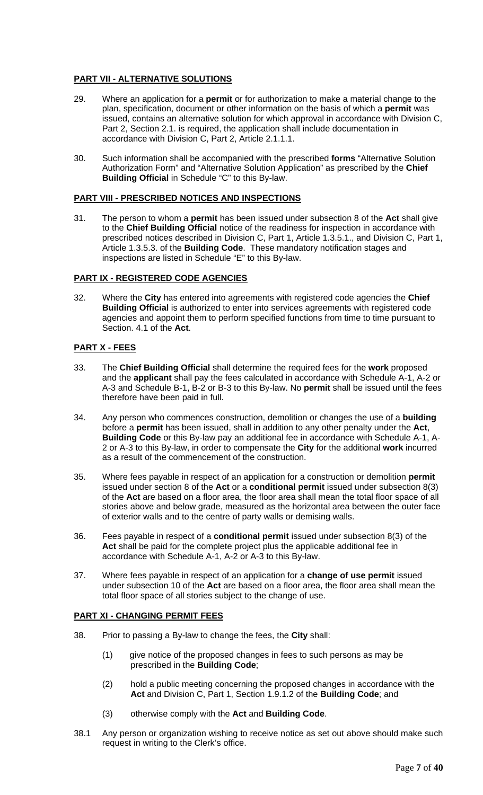# **PART VII - ALTERNATIVE SOLUTIONS**

- 29. Where an application for a **permit** or for authorization to make a material change to the plan, specification, document or other information on the basis of which a **permit** was issued, contains an alternative solution for which approval in accordance with Division C, Part 2, Section 2.1. is required, the application shall include documentation in accordance with Division C, Part 2, Article 2.1.1.1.
- 30. Such information shall be accompanied with the prescribed **forms** "Alternative Solution Authorization Form" and "Alternative Solution Application" as prescribed by the **Chief Building Official** in Schedule "C" to this By-law.

### **PART VIII - PRESCRIBED NOTICES AND INSPECTIONS**

31. The person to whom a **permit** has been issued under subsection 8 of the **Act** shall give to the **Chief Building Official** notice of the readiness for inspection in accordance with prescribed notices described in Division C, Part 1, Article 1.3.5.1., and Division C, Part 1, Article 1.3.5.3. of the **Building Code**. These mandatory notification stages and inspections are listed in Schedule "E" to this By-law.

# **PART IX - REGISTERED CODE AGENCIES**

32. Where the **City** has entered into agreements with registered code agencies the **Chief Building Official** is authorized to enter into services agreements with registered code agencies and appoint them to perform specified functions from time to time pursuant to Section. 4.1 of the **Act**.

# **PART X - FEES**

- 33. The **Chief Building Official** shall determine the required fees for the **work** proposed and the **applicant** shall pay the fees calculated in accordance with Schedule A-1, A-2 or A-3 and Schedule B-1, B-2 or B-3 to this By-law. No **permit** shall be issued until the fees therefore have been paid in full.
- 34. Any person who commences construction, demolition or changes the use of a **building** before a **permit** has been issued, shall in addition to any other penalty under the **Act**, **Building Code** or this By-law pay an additional fee in accordance with Schedule A-1, A-2 or A-3 to this By-law, in order to compensate the **City** for the additional **work** incurred as a result of the commencement of the construction.
- 35. Where fees payable in respect of an application for a construction or demolition **permit** issued under section 8 of the **Act** or a **conditional permit** issued under subsection 8(3) of the **Act** are based on a floor area, the floor area shall mean the total floor space of all stories above and below grade, measured as the horizontal area between the outer face of exterior walls and to the centre of party walls or demising walls.
- 36. Fees payable in respect of a **conditional permit** issued under subsection 8(3) of the **Act** shall be paid for the complete project plus the applicable additional fee in accordance with Schedule A-1, A-2 or A-3 to this By-law.
- 37. Where fees payable in respect of an application for a **change of use permit** issued under subsection 10 of the **Act** are based on a floor area, the floor area shall mean the total floor space of all stories subject to the change of use.

# **PART XI - CHANGING PERMIT FEES**

- 38. Prior to passing a By-law to change the fees, the **City** shall:
	- (1) give notice of the proposed changes in fees to such persons as may be prescribed in the **Building Code**;
	- (2) hold a public meeting concerning the proposed changes in accordance with the **Act** and Division C, Part 1, Section 1.9.1.2 of the **Building Code**; and
	- (3) otherwise comply with the **Act** and **Building Code**.
- 38.1 Any person or organization wishing to receive notice as set out above should make such request in writing to the Clerk's office.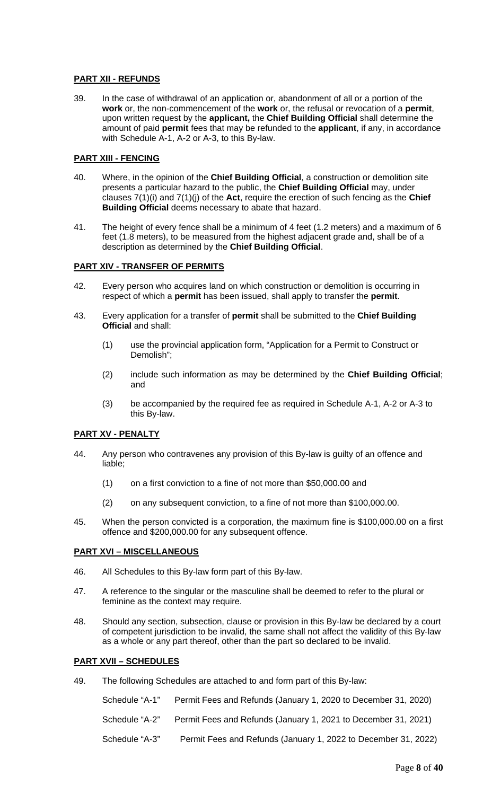# **PART XII - REFUNDS**

39. In the case of withdrawal of an application or, abandonment of all or a portion of the **work** or, the non-commencement of the **work** or, the refusal or revocation of a **permit**, upon written request by the **applicant,** the **Chief Building Official** shall determine the amount of paid **permit** fees that may be refunded to the **applicant**, if any, in accordance with Schedule A-1, A-2 or A-3, to this By-law.

# **PART XIII - FENCING**

- 40. Where, in the opinion of the **Chief Building Official**, a construction or demolition site presents a particular hazard to the public, the **Chief Building Official** may, under clauses 7(1)(i) and 7(1)(j) of the **Act**, require the erection of such fencing as the **Chief Building Official** deems necessary to abate that hazard.
- 41. The height of every fence shall be a minimum of 4 feet (1.2 meters) and a maximum of 6 feet (1.8 meters), to be measured from the highest adjacent grade and, shall be of a description as determined by the **Chief Building Official**.

# **PART XIV - TRANSFER OF PERMITS**

- 42. Every person who acquires land on which construction or demolition is occurring in respect of which a **permit** has been issued, shall apply to transfer the **permit**.
- 43. Every application for a transfer of **permit** shall be submitted to the **Chief Building Official** and shall:
	- (1) use the provincial application form, "Application for a Permit to Construct or Demolish";
	- (2) include such information as may be determined by the **Chief Building Official**; and
	- (3) be accompanied by the required fee as required in Schedule A-1, A-2 or A-3 to this By-law.

# **PART XV - PENALTY**

- 44. Any person who contravenes any provision of this By-law is guilty of an offence and liable;
	- (1) on a first conviction to a fine of not more than \$50,000.00 and
	- (2) on any subsequent conviction, to a fine of not more than \$100,000.00.
- 45. When the person convicted is a corporation, the maximum fine is \$100,000.00 on a first offence and \$200,000.00 for any subsequent offence.

# **PART XVI – MISCELLANEOUS**

- 46. All Schedules to this By-law form part of this By-law.
- 47. A reference to the singular or the masculine shall be deemed to refer to the plural or feminine as the context may require.
- 48. Should any section, subsection, clause or provision in this By-law be declared by a court of competent jurisdiction to be invalid, the same shall not affect the validity of this By-law as a whole or any part thereof, other than the part so declared to be invalid.

# **PART XVII – SCHEDULES**

49. The following Schedules are attached to and form part of this By-law:

Schedule "A-1" Permit Fees and Refunds (January 1, 2020 to December 31, 2020) Schedule "A-2" Permit Fees and Refunds (January 1, 2021 to December 31, 2021) Schedule "A-3" Permit Fees and Refunds (January 1, 2022 to December 31, 2022)